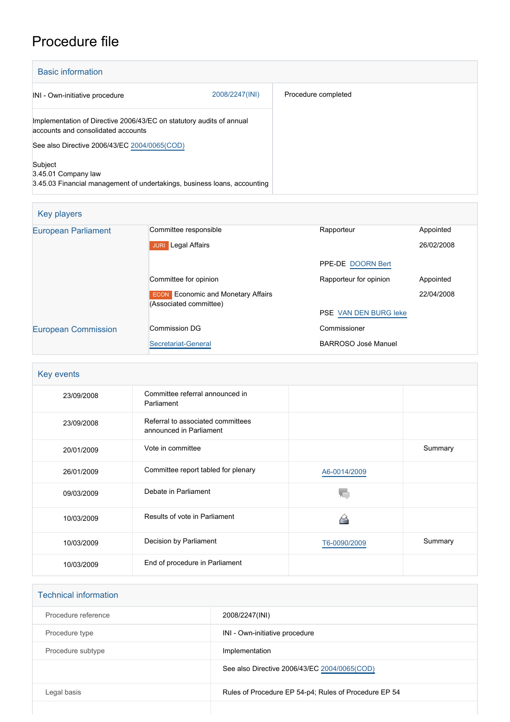## Procedure file

| <b>Basic information</b>                                                                                   |                |                     |
|------------------------------------------------------------------------------------------------------------|----------------|---------------------|
| INI - Own-initiative procedure                                                                             | 2008/2247(INI) | Procedure completed |
| Implementation of Directive 2006/43/EC on statutory audits of annual<br>accounts and consolidated accounts |                |                     |
| See also Directive 2006/43/EC 2004/0065(COD)                                                               |                |                     |
| Subject<br>3.45.01 Company law<br>3.45.03 Financial management of undertakings, business loans, accounting |                |                     |

| Key players                |                                                                     |                        |            |
|----------------------------|---------------------------------------------------------------------|------------------------|------------|
| <b>European Parliament</b> | Committee responsible                                               | Rapporteur             | Appointed  |
|                            | Legal Affairs<br><b>JURI</b>                                        |                        | 26/02/2008 |
|                            |                                                                     | PPE-DE DOORN Bert      |            |
|                            | Committee for opinion                                               | Rapporteur for opinion | Appointed  |
|                            | <b>ECON</b> Economic and Monetary Affairs<br>(Associated committee) |                        | 22/04/2008 |
|                            |                                                                     | PSE VAN DEN BURG leke  |            |
| <b>European Commission</b> | Commission DG                                                       | Commissioner           |            |
|                            | Secretariat-General                                                 | BARROSO José Manuel    |            |

| Key events |                                                              |              |         |
|------------|--------------------------------------------------------------|--------------|---------|
| 23/09/2008 | Committee referral announced in<br>Parliament                |              |         |
| 23/09/2008 | Referral to associated committees<br>announced in Parliament |              |         |
| 20/01/2009 | Vote in committee                                            |              | Summary |
| 26/01/2009 | Committee report tabled for plenary                          | A6-0014/2009 |         |
| 09/03/2009 | Debate in Parliament                                         |              |         |
| 10/03/2009 | Results of vote in Parliament                                |              |         |
| 10/03/2009 | Decision by Parliament                                       | T6-0090/2009 | Summary |
| 10/03/2009 | End of procedure in Parliament                               |              |         |

| <b>Technical information</b> |                                                       |
|------------------------------|-------------------------------------------------------|
| Procedure reference          | 2008/2247(INI)                                        |
| Procedure type               | INI - Own-initiative procedure                        |
| Procedure subtype            | Implementation                                        |
|                              | See also Directive 2006/43/EC 2004/0065(COD)          |
| Legal basis                  | Rules of Procedure EP 54-p4; Rules of Procedure EP 54 |
|                              |                                                       |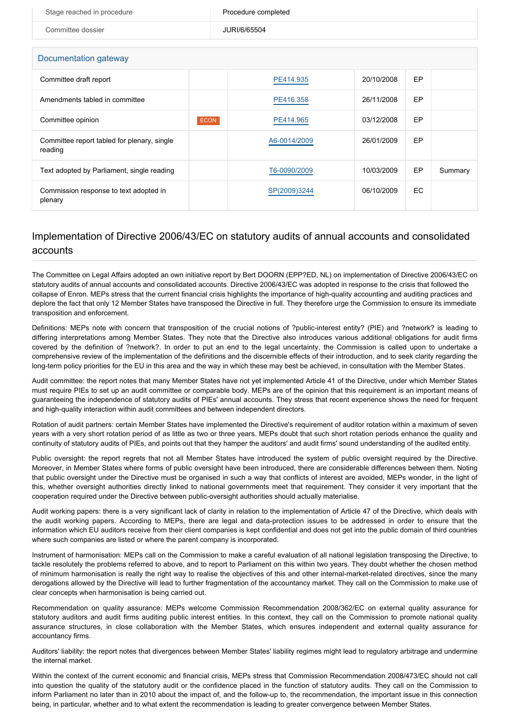| Stage reached in procedure                             |             | Procedure completed |            |           |         |  |
|--------------------------------------------------------|-------------|---------------------|------------|-----------|---------|--|
| Committee dossier                                      |             | JURI/6/65504        |            |           |         |  |
|                                                        |             |                     |            |           |         |  |
| Documentation gateway                                  |             |                     |            |           |         |  |
| Committee draft report                                 |             | PE414.935           | 20/10/2008 | EP        |         |  |
| Amendments tabled in committee                         |             | PE416.358           | 26/11/2008 | <b>EP</b> |         |  |
| Committee opinion                                      | <b>ECON</b> | PE414.965           | 03/12/2008 | <b>EP</b> |         |  |
| Committee report tabled for plenary, single<br>reading |             | A6-0014/2009        | 26/01/2009 | EP        |         |  |
| Text adopted by Parliament, single reading             |             | T6-0090/2009        | 10/03/2009 | <b>EP</b> | Summary |  |

## Implementation of Directive 2006/43/EC on statutory audits of annual accounts and consolidated accounts

SP(2009)3244 06/10/2009 EC

Commission response to text adopted in

plenary

The Committee on Legal Affairs adopted an own initiative report by Bert DOORN (EPP?ED, NL) on implementation of Directive 2006/43/EC on statutory audits of annual accounts and consolidated accounts. Directive 2006/43/EC was adopted in response to the crisis that followed the collapse of Enron. MEPs stress that the current financial crisis highlights the importance of high-quality accounting and auditing practices and deplore the fact that only 12 Member States have transposed the Directive in full. They therefore urge the Commission to ensure its immediate transposition and enforcement.

Definitions: MEPs note with concern that transposition of the crucial notions of ?public-interest entity? (PIE) and ?network? is leading to differing interpretations among Member States. They note that the Directive also introduces various additional obligations for audit firms covered by the definition of ?network?. In order to put an end to the legal uncertainty, the Commission is called upon to undertake a comprehensive review of the implementation of the definitions and the discernible effects of their introduction, and to seek clarity regarding the long-term policy priorities for the EU in this area and the way in which these may best be achieved, in consultation with the Member States.

Audit committee: the report notes that many Member States have not yet implemented Article 41 of the Directive, under which Member States must require PIEs to set up an audit committee or comparable body. MEPs are of the opinion that this requirement is an important means of guaranteeing the independence of statutory audits of PIEs' annual accounts. They stress that recent experience shows the need for frequent and high-quality interaction within audit committees and between independent directors.

Rotation of audit partners: certain Member States have implemented the Directive's requirement of auditor rotation within a maximum of seven years with a very short rotation period of as little as two or three years. MEPs doubt that such short rotation periods enhance the quality and continuity of statutory audits of PIEs, and points out that they hamper the auditors' and audit firms' sound understanding of the audited entity.

Public oversight: the report regrets that not all Member States have introduced the system of public oversight required by the Directive. Moreover, in Member States where forms of public oversight have been introduced, there are considerable differences between them. Noting that public oversight under the Directive must be organised in such a way that conflicts of interest are avoided, MEPs wonder, in the light of this, whether oversight authorities directly linked to national governments meet that requirement. They consider it very important that the cooperation required under the Directive between public-oversight authorities should actually materialise.

Audit working papers: there is a very significant lack of clarity in relation to the implementation of Article 47 of the Directive, which deals with the audit working papers. According to MEPs, there are legal and data-protection issues to be addressed in order to ensure that the information which EU auditors receive from their client companies is kept confidential and does not get into the public domain of third countries where such companies are listed or where the parent company is incorporated.

Instrument of harmonisation: MEPs call on the Commission to make a careful evaluation of all national legislation transposing the Directive, to tackle resolutely the problems referred to above, and to report to Parliament on this within two years. They doubt whether the chosen method of minimum harmonisation is really the right way to realise the objectives of this and other internal-market-related directives, since the many derogations allowed by the Directive will lead to further fragmentation of the accountancy market. They call on the Commission to make use of clear concepts when harmonisation is being carried out.

Recommendation on quality assurance: MEPs welcome Commission Recommendation 2008/362/EC on external quality assurance for statutory auditors and audit firms auditing public interest entities. In this context, they call on the Commission to promote national quality assurance structures, in close collaboration with the Member States, which ensures independent and external quality assurance for accountancy firms.

Auditors' liability: the report notes that divergences between Member States' liability regimes might lead to regulatory arbitrage and undermine the internal market.

Within the context of the current economic and financial crisis, MEPs stress that Commission Recommendation 2008/473/EC should not call into question the quality of the statutory audit or the confidence placed in the function of statutory audits. They call on the Commission to inform Parliament no later than in 2010 about the impact of, and the follow-up to, the recommendation, the important issue in this connection being, in particular, whether and to what extent the recommendation is leading to greater convergence between Member States.